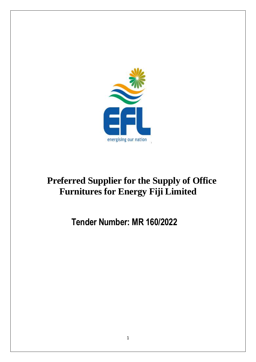

# **Preferred Supplier for the Supply of Office Furnitures for Energy Fiji Limited**

## **Tender Number: MR 160/2022**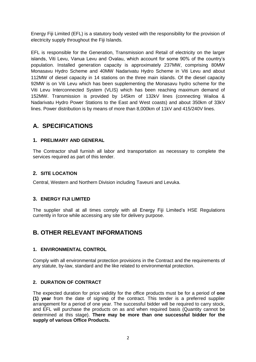Energy Fiji Limited (EFL) is a statutory body vested with the responsibility for the provision of electricity supply throughout the Fiji Islands.

EFL is responsible for the Generation, Transmission and Retail of electricity on the larger islands, Viti Levu, Vanua Levu and Ovalau, which account for some 90% of the country's population. Installed generation capacity is approximately 237MW, comprising 80MW Monasavu Hydro Scheme and 40MW Nadarivatu Hydro Scheme in Viti Levu and about 112MW of diesel capacity in 14 stations on the three main islands. Of the diesel capacity 92MW is on Viti Levu which has been supplementing the Monasavu hydro scheme for the Viti Levu Interconnected System (VLIS) which has been reaching maximum demand of 152MW. Transmission is provided by 145km of 132kV lines (connecting Wailoa & Nadarivatu Hydro Power Stations to the East and West coasts) and about 350km of 33kV lines. Power distribution is by means of more than 8,000km of 11kV and 415/240V lines.

### **A. SPECIFICATIONS**

#### **1. PRELIMARY AND GENERAL**

The Contractor shall furnish all labor and transportation as necessary to complete the services required as part of this tender.

#### **2. SITE LOCATION**

Central, Western and Northern Division including Taveuni and Levuka.

#### **3. ENERGY FIJI LIMITED**

The supplier shall at all times comply with all Energy Fiji Limited's HSE Regulations currently in force while accessing any site for delivery purpose.

### **B. OTHER RELEVANT INFORMATIONS**

#### **1. ENVIRONMENTAL CONTROL**

Comply with all environmental protection provisions in the Contract and the requirements of any statute, by-law, standard and the like related to environmental protection.

#### **2. DURATION OF CONTRACT**

The expected duration for price validity for the office products must be for a period of **one (1) year** from the date of signing of the contract. This tender is a preferred supplier arrangement for a period of one year. The successful bidder will be required to carry stock, and EFL will purchase the products on as and when required basis (Quantity cannot be determined at this stage). **There may be more than one successful bidder for the supply of various Office Products.**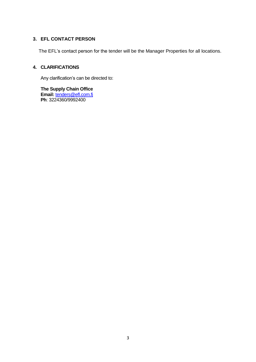#### **3. EFL CONTACT PERSON**

The EFL's contact person for the tender will be the Manager Properties for all locations.

#### **4. CLARIFICATIONS**

Any clarification's can be directed to:

**The Supply Chain Office Email:** [tenders@efl.com.fj](mailto:tenders@efl.com.fj) **Ph**: 3224360/9992400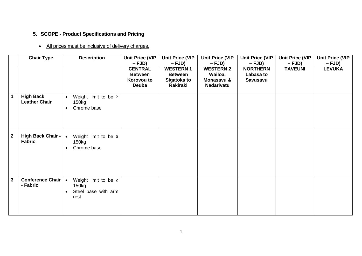## **5. SCOPE - Product Specifications and Pricing**

## • All prices must be inclusive of delivery charges.

|              | <b>Chair Type</b>                        | <b>Description</b>                                                             | <b>Unit Price (VIP</b><br>$-FJD)$                              | <b>Unit Price (VIP</b><br>$-FJD)$                            | <b>Unit Price (VIP</b><br>$-FJD)$                              | <b>Unit Price (VIP</b><br>$-FJD)$               | <b>Unit Price (VIP</b><br>$-FJD)$ | <b>Unit Price (VIP</b><br>$-FJD)$ |
|--------------|------------------------------------------|--------------------------------------------------------------------------------|----------------------------------------------------------------|--------------------------------------------------------------|----------------------------------------------------------------|-------------------------------------------------|-----------------------------------|-----------------------------------|
|              |                                          |                                                                                | <b>CENTRAL</b><br><b>Between</b><br>Korovou to<br><b>Deuba</b> | <b>WESTERN1</b><br><b>Between</b><br>Sigatoka to<br>Rakiraki | <b>WESTERN 2</b><br>Wailoa,<br>Monasavu &<br><b>Nadarivatu</b> | <b>NORTHERN</b><br>Labasa to<br><b>Savusavu</b> | <b>TAVEUNI</b>                    | <b>LEVUKA</b>                     |
| $\mathbf{1}$ | <b>High Back</b><br><b>Leather Chair</b> | Weight limit to be $\geq$<br>$\bullet$<br>150kg<br>Chrome base<br>$\bullet$    |                                                                |                                                              |                                                                |                                                 |                                   |                                   |
| $\mathbf{2}$ | High Back Chair -   •<br><b>Fabric</b>   | Weight limit to be $\geq$<br>150kg<br>Chrome base<br>$\bullet$                 |                                                                |                                                              |                                                                |                                                 |                                   |                                   |
| $\mathbf{3}$ | Conference Chair   •<br>- Fabric         | Weight limit to be $\geq$<br>150kg<br>Steel base with arm<br>$\bullet$<br>rest |                                                                |                                                              |                                                                |                                                 |                                   |                                   |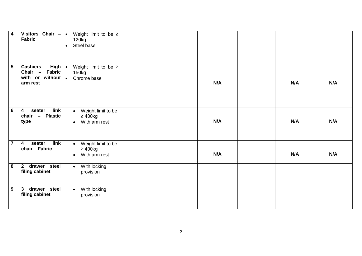| $\overline{\mathbf{4}}$ | Visitors Chair $- $ .<br><b>Fabric</b>                                                                               | Weight limit to be $\ge$<br>120kg<br>Steel base<br>$\bullet$                   |  |     |     |     |
|-------------------------|----------------------------------------------------------------------------------------------------------------------|--------------------------------------------------------------------------------|--|-----|-----|-----|
| $5\phantom{.0}$         | <b>Cashiers</b><br>High $\vert \bullet \vert$<br>Chair - Fabric<br>with or without $\vert \bullet \vert$<br>arm rest | Weight limit to be $\geq$<br>150kg<br>Chrome base                              |  | N/A | N/A | N/A |
| $6\phantom{1}6$         | link<br>seater<br>$\overline{\mathbf{4}}$<br><b>Plastic</b><br>$chain -$<br>type                                     | Weight limit to be<br>$\bullet$<br>$\geq 400$ kg<br>With arm rest<br>$\bullet$ |  | N/A | N/A | N/A |
| $\overline{\mathbf{7}}$ | link<br>seater<br>$\overline{\mathbf{4}}$<br>chair - Fabric                                                          | Weight limit to be<br>$\bullet$<br>$\geq 400$ kg<br>With arm rest<br>$\bullet$ |  | N/A | N/A | N/A |
| $\overline{\mathbf{8}}$ | drawer steel<br>$2^{\circ}$<br>filing cabinet                                                                        | With locking<br>$\bullet$<br>provision                                         |  |     |     |     |
| 9                       | 3 drawer steel<br>filing cabinet                                                                                     | With locking<br>$\bullet$<br>provision                                         |  |     |     |     |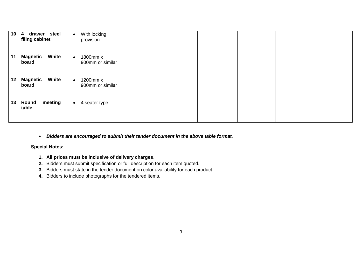| 10 | steel<br>drawer<br>$\overline{\mathbf{4}}$<br>filing cabinet | With locking<br>$\bullet$<br>provision    |  |  |  |
|----|--------------------------------------------------------------|-------------------------------------------|--|--|--|
| 11 | <b>Magnetic</b><br><b>White</b><br>board                     | 1800mm x<br>$\bullet$<br>900mm or similar |  |  |  |
| 12 | <b>Magnetic</b><br><b>White</b><br>board                     | 1200mm x<br>$\bullet$<br>900mm or similar |  |  |  |
| 13 | meeting<br>Round<br>table                                    | 4 seater type<br>$\bullet$                |  |  |  |

*Bidders are encouraged to submit their tender document in the above table format.* 

#### **Special Notes:**

- **1. All prices must be inclusive of delivery charges**.
- **2.** Bidders must submit specification or full description for each item quoted.
- **3.** Bidders must state in the tender document on color availability for each product.
- **4.** Bidders to include photographs for the tendered items.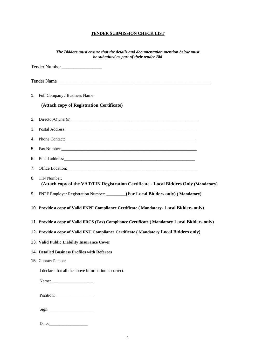#### **TENDER SUBMISSION CHECK LIST**

|    | The Bidders must ensure that the details and documentation mention below must<br>be submitted as part of their tender Bid                                                                                                      |
|----|--------------------------------------------------------------------------------------------------------------------------------------------------------------------------------------------------------------------------------|
|    | Tender Number                                                                                                                                                                                                                  |
|    | Tender Name                                                                                                                                                                                                                    |
|    | 1. Full Company / Business Name:                                                                                                                                                                                               |
|    | (Attach copy of Registration Certificate)                                                                                                                                                                                      |
|    |                                                                                                                                                                                                                                |
|    |                                                                                                                                                                                                                                |
|    |                                                                                                                                                                                                                                |
|    |                                                                                                                                                                                                                                |
| 6. |                                                                                                                                                                                                                                |
| 7. |                                                                                                                                                                                                                                |
| 8. | TIN Number:<br>(Attach copy of the VAT/TIN Registration Certificate - Local Bidders Only (Mandatory)                                                                                                                           |
|    | 9. FNPF Employer Registration Number: _______(For Local Bidders only) (Mandatory)                                                                                                                                              |
|    | 10. Provide a copy of Valid FNPF Compliance Certificate (Mandatory- Local Bidders only)                                                                                                                                        |
|    | 11. Provide a copy of Valid FRCS (Tax) Compliance Certificate (Mandatory Local Bidders only)                                                                                                                                   |
|    | 12. Provide a copy of Valid FNU Compliance Certificate (Mandatory Local Bidders only)                                                                                                                                          |
|    | 13. Valid Public Liability Insurance Cover                                                                                                                                                                                     |
|    | 14. Detailed Business Profiles with Referees                                                                                                                                                                                   |
|    | 15. Contact Person:                                                                                                                                                                                                            |
|    | I declare that all the above information is correct.                                                                                                                                                                           |
|    |                                                                                                                                                                                                                                |
|    |                                                                                                                                                                                                                                |
|    |                                                                                                                                                                                                                                |
|    | Date: the contract of the contract of the contract of the contract of the contract of the contract of the contract of the contract of the contract of the contract of the contract of the contract of the contract of the cont |